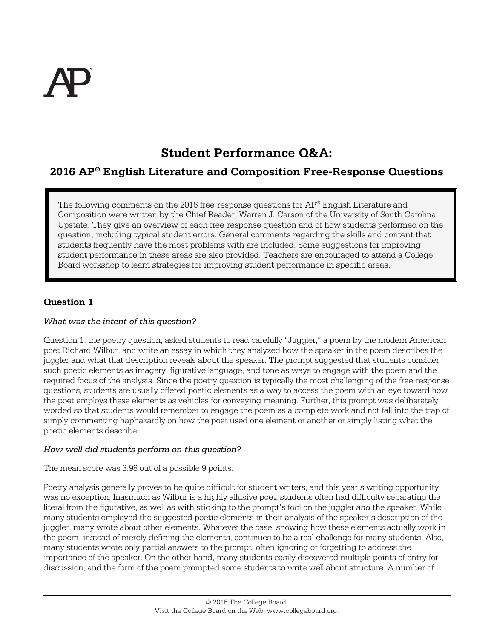

# **Student Performance Q&A:**

## **2016 AP® English Literature and Composition Free-Response Questions**

The following comments on the 2016 free-response questions for AP® English Literature and Composition were written by the Chief Reader, Warren J. Carson of the University of South Carolina Upstate. They give an overview of each free-response question and of how students performed on the question, including typical student errors. General comments regarding the skills and content that students frequently have the most problems with are included. Some suggestions for improving student performance in these areas are also provided. Teachers are encouraged to attend a College Board workshop to learn strategies for improving student performance in specific areas.

## **Question 1**

## *What was the intent of this question?*

Question 1, the poetry question, asked students to read carefully "Juggler," a poem by the modern American poet Richard Wilbur, and write an essay in which they analyzed how the speaker in the poem describes the juggler and what that description reveals about the speaker. The prompt suggested that students consider such poetic elements as imagery, figurative language, and tone as ways to engage with the poem and the required focus of the analysis. Since the poetry question is typically the most challenging of the free-response questions, students are usually offered poetic elements as a way to access the poem with an eye toward how the poet employs these elements as vehicles for conveying meaning. Further, this prompt was deliberately worded so that students would remember to engage the poem as a complete work and not fall into the trap of simply commenting haphazardly on how the poet used one element or another or simply listing what the poetic elements describe.

#### *How well did students perform on this question?*

The mean score was 3.98 out of a possible 9 points.

Poetry analysis generally proves to be quite difficult for student writers, and this year's writing opportunity was no exception. Inasmuch as Wilbur is a highly allusive poet, students often had difficulty separating the literal from the figurative, as well as with sticking to the prompt's foci on the juggler *and* the speaker. While many students employed the suggested poetic elements in their analysis of the speaker's description of the juggler, many wrote about other elements. Whatever the case, showing how these elements actually work in the poem, instead of merely defining the elements, continues to be a real challenge for many students. Also, many students wrote only partial answers to the prompt, often ignoring or forgetting to address the importance of the speaker. On the other hand, many students easily discovered multiple points of entry for discussion, and the form of the poem prompted some students to write well about structure. A number of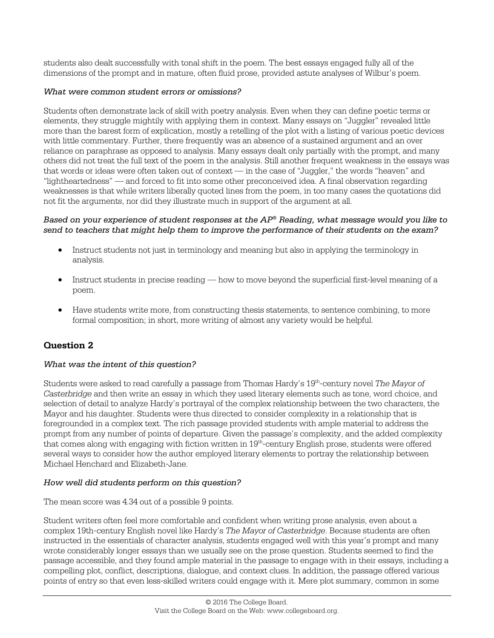students also dealt successfully with tonal shift in the poem. The best essays engaged fully all of the dimensions of the prompt and in mature, often fluid prose, provided astute analyses of Wilbur's poem.

## *What were common student errors or omissions?*

Students often demonstrate lack of skill with poetry analysis. Even when they can define poetic terms or elements, they struggle mightily with applying them in context. Many essays on "Juggler" revealed little more than the barest form of explication, mostly a retelling of the plot with a listing of various poetic devices with little commentary. Further, there frequently was an absence of a sustained argument and an over reliance on paraphrase as opposed to analysis. Many essays dealt only partially with the prompt, and many others did not treat the full text of the poem in the analysis. Still another frequent weakness in the essays was that words or ideas were often taken out of context — in the case of "Juggler," the words "heaven" and "lightheartedness" — and forced to fit into some other preconceived idea. A final observation regarding weaknesses is that while writers liberally quoted lines from the poem, in too many cases the quotations did not fit the arguments, nor did they illustrate much in support of the argument at all.

#### *Based on your experience of student responses at the AP® Reading, what message would you like to send to teachers that might help them to improve the performance of their students on the exam?*

- Instruct students not just in terminology and meaning but also in applying the terminology in analysis.
- Instruct students in precise reading how to move beyond the superficial first-level meaning of a poem.
- Have students write more, from constructing thesis statements, to sentence combining, to more formal composition; in short, more writing of almost any variety would be helpful.

## **Question 2**

## *What was the intent of this question?*

Students were asked to read carefully a passage from Thomas Hardy's 19th-century novel *The Mayor of Casterbridge* and then write an essay in which they used literary elements such as tone, word choice, and selection of detail to analyze Hardy's portrayal of the complex relationship between the two characters, the Mayor and his daughter. Students were thus directed to consider complexity in a relationship that is foregrounded in a complex text. The rich passage provided students with ample material to address the prompt from any number of points of departure. Given the passage's complexity, and the added complexity that comes along with engaging with fiction written in  $19<sup>th</sup>$ -century English prose, students were offered several ways to consider how the author employed literary elements to portray the relationship between Michael Henchard and Elizabeth-Jane.

## *How well did students perform on this question?*

The mean score was 4.34 out of a possible 9 points.

Student writers often feel more comfortable and confident when writing prose analysis, even about a complex 19th-century English novel like Hardy's *The Mayor of Casterbridge*. Because students are often instructed in the essentials of character analysis, students engaged well with this year's prompt and many wrote considerably longer essays than we usually see on the prose question. Students seemed to find the passage accessible, and they found ample material in the passage to engage with in their essays, including a compelling plot, conflict, descriptions, dialogue, and context clues. In addition, the passage offered various points of entry so that even less-skilled writers could engage with it. Mere plot summary, common in some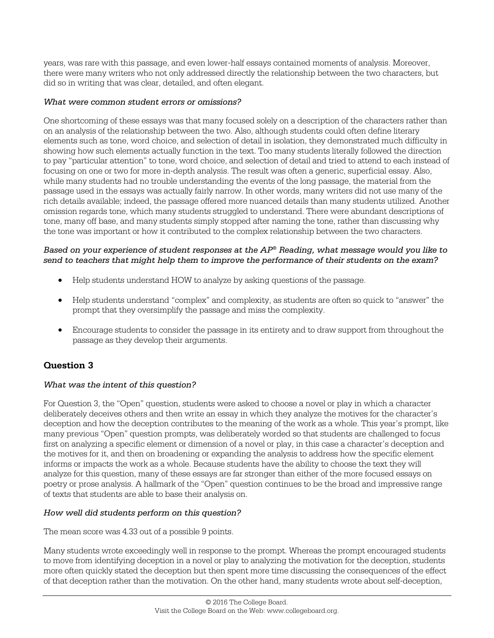years, was rare with this passage, and even lower-half essays contained moments of analysis. Moreover, there were many writers who not only addressed directly the relationship between the two characters, but did so in writing that was clear, detailed, and often elegant.

## *What were common student errors or omissions?*

One shortcoming of these essays was that many focused solely on a description of the characters rather than on an analysis of the relationship between the two. Also, although students could often define literary elements such as tone, word choice, and selection of detail in isolation, they demonstrated much difficulty in showing how such elements actually function in the text. Too many students literally followed the direction to pay "particular attention" to tone, word choice, and selection of detail and tried to attend to each instead of focusing on one or two for more in-depth analysis. The result was often a generic, superficial essay. Also, while many students had no trouble understanding the events of the long passage, the material from the passage used in the essays was actually fairly narrow. In other words, many writers did not use many of the rich details available; indeed, the passage offered more nuanced details than many students utilized. Another omission regards tone, which many students struggled to understand. There were abundant descriptions of tone, many off base, and many students simply stopped after naming the tone, rather than discussing why the tone was important or how it contributed to the complex relationship between the two characters.

## *Based on your experience of student responses at the AP® Reading, what message would you like to send to teachers that might help them to improve the performance of their students on the exam?*

- Help students understand HOW to analyze by asking questions of the passage.
- Help students understand "complex" and complexity, as students are often so quick to "answer" the prompt that they oversimplify the passage and miss the complexity.
- Encourage students to consider the passage in its entirety and to draw support from throughout the passage as they develop their arguments.

## **Question 3**

## *What was the intent of this question?*

For Question 3, the "Open" question, students were asked to choose a novel or play in which a character deliberately deceives others and then write an essay in which they analyze the motives for the character's deception and how the deception contributes to the meaning of the work as a whole. This year's prompt, like many previous "Open" question prompts, was deliberately worded so that students are challenged to focus first on analyzing a specific element or dimension of a novel or play, in this case a character's deception and the motives for it, and then on broadening or expanding the analysis to address how the specific element informs or impacts the work as a whole. Because students have the ability to choose the text they will analyze for this question, many of these essays are far stronger than either of the more focused essays on poetry or prose analysis. A hallmark of the "Open" question continues to be the broad and impressive range of texts that students are able to base their analysis on.

## *How well did students perform on this question?*

The mean score was 4.33 out of a possible 9 points.

Many students wrote exceedingly well in response to the prompt. Whereas the prompt encouraged students to move from identifying deception in a novel or play to analyzing the motivation for the deception, students more often quickly stated the deception but then spent more time discussing the consequences of the effect of that deception rather than the motivation. On the other hand, many students wrote about self-deception,